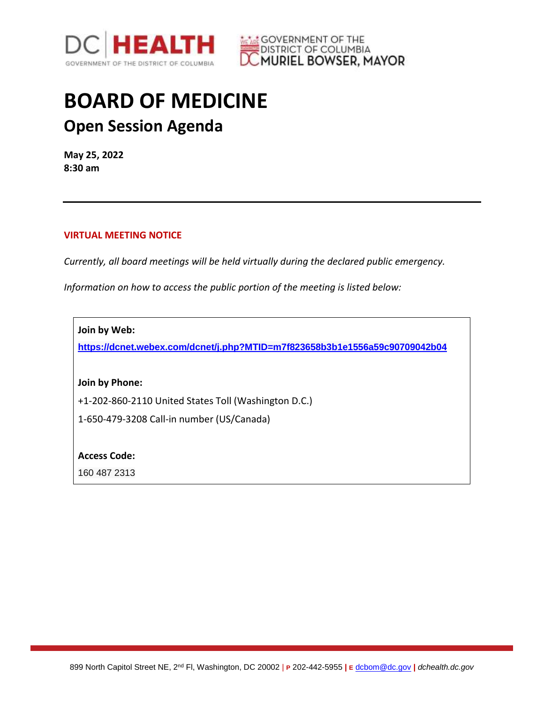



## **BOARD OF MEDICINE Open Session Agenda**

**May 25, 2022 8:30 am**

## **VIRTUAL MEETING NOTICE**

*Currently, all board meetings will be held virtually during the declared public emergency.* 

*Information on how to access the public portion of the meeting is listed below:*

**Join by Web:**

**<https://dcnet.webex.com/dcnet/j.php?MTID=m7f823658b3b1e1556a59c90709042b04>**

**Join by Phone:**

+1-202-860-2110 United States Toll (Washington D.C.)

1-650-479-3208 Call-in number (US/Canada)

**Access Code:** 

160 487 2313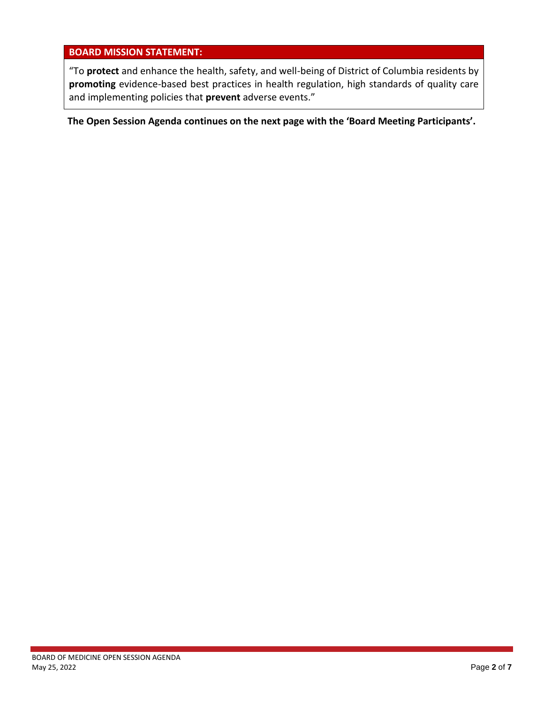## **BOARD MISSION STATEMENT:**

"To **protect** and enhance the health, safety, and well-being of District of Columbia residents by **promoting** evidence-based best practices in health regulation, high standards of quality care and implementing policies that **prevent** adverse events."

**The Open Session Agenda continues on the next page with the 'Board Meeting Participants'.**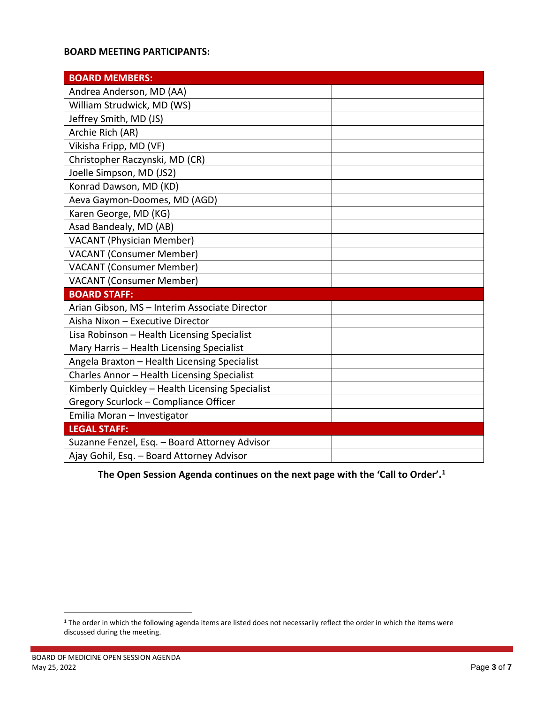## **BOARD MEETING PARTICIPANTS:**

| <b>BOARD MEMBERS:</b>                           |  |
|-------------------------------------------------|--|
| Andrea Anderson, MD (AA)                        |  |
| William Strudwick, MD (WS)                      |  |
| Jeffrey Smith, MD (JS)                          |  |
| Archie Rich (AR)                                |  |
| Vikisha Fripp, MD (VF)                          |  |
| Christopher Raczynski, MD (CR)                  |  |
| Joelle Simpson, MD (JS2)                        |  |
| Konrad Dawson, MD (KD)                          |  |
| Aeva Gaymon-Doomes, MD (AGD)                    |  |
| Karen George, MD (KG)                           |  |
| Asad Bandealy, MD (AB)                          |  |
| <b>VACANT (Physician Member)</b>                |  |
| <b>VACANT (Consumer Member)</b>                 |  |
| <b>VACANT (Consumer Member)</b>                 |  |
| <b>VACANT (Consumer Member)</b>                 |  |
| <b>BOARD STAFF:</b>                             |  |
| Arian Gibson, MS - Interim Associate Director   |  |
| Aisha Nixon - Executive Director                |  |
| Lisa Robinson - Health Licensing Specialist     |  |
| Mary Harris - Health Licensing Specialist       |  |
| Angela Braxton - Health Licensing Specialist    |  |
| Charles Annor - Health Licensing Specialist     |  |
| Kimberly Quickley - Health Licensing Specialist |  |
| Gregory Scurlock - Compliance Officer           |  |
| Emilia Moran - Investigator                     |  |
| <b>LEGAL STAFF:</b>                             |  |
| Suzanne Fenzel, Esq. - Board Attorney Advisor   |  |
| Ajay Gohil, Esq. - Board Attorney Advisor       |  |

**1he Open Session Agenda continues on the next page with the 'Call to Order'.<sup>1</sup>** 

 $\overline{a}$ 

<sup>&</sup>lt;sup>1</sup> The order in which the following agenda items are listed does not necessarily reflect the order in which the items were discussed during the meeting.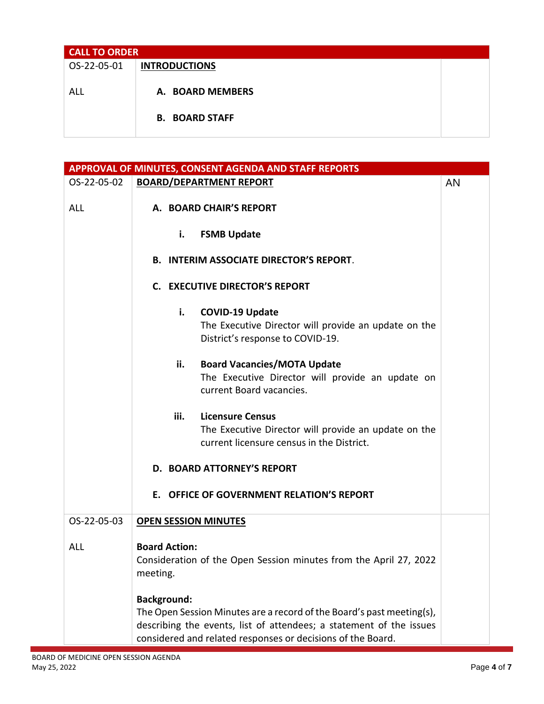| <b>CALL TO ORDER</b> |                       |  |
|----------------------|-----------------------|--|
| OS-22-05-01          | <b>INTRODUCTIONS</b>  |  |
|                      |                       |  |
| ALL                  | A. BOARD MEMBERS      |  |
|                      |                       |  |
|                      | <b>B. BOARD STAFF</b> |  |
|                      |                       |  |

| APPROVAL OF MINUTES, CONSENT AGENDA AND STAFF REPORTS |                                                                                                                                                                                                                                   |    |
|-------------------------------------------------------|-----------------------------------------------------------------------------------------------------------------------------------------------------------------------------------------------------------------------------------|----|
| OS-22-05-02                                           | <b>BOARD/DEPARTMENT REPORT</b>                                                                                                                                                                                                    | AN |
| <b>ALL</b>                                            | A. BOARD CHAIR'S REPORT                                                                                                                                                                                                           |    |
|                                                       | i.<br><b>FSMB Update</b>                                                                                                                                                                                                          |    |
|                                                       | <b>B. INTERIM ASSOCIATE DIRECTOR'S REPORT.</b>                                                                                                                                                                                    |    |
|                                                       | <b>C. EXECUTIVE DIRECTOR'S REPORT</b>                                                                                                                                                                                             |    |
|                                                       | i.<br><b>COVID-19 Update</b><br>The Executive Director will provide an update on the<br>District's response to COVID-19.                                                                                                          |    |
|                                                       | ii.<br><b>Board Vacancies/MOTA Update</b><br>The Executive Director will provide an update on<br>current Board vacancies.                                                                                                         |    |
|                                                       | iii.<br><b>Licensure Census</b><br>The Executive Director will provide an update on the<br>current licensure census in the District.                                                                                              |    |
|                                                       | <b>D. BOARD ATTORNEY'S REPORT</b>                                                                                                                                                                                                 |    |
|                                                       | E. OFFICE OF GOVERNMENT RELATION'S REPORT                                                                                                                                                                                         |    |
| OS-22-05-03                                           | <b>OPEN SESSION MINUTES</b>                                                                                                                                                                                                       |    |
| <b>ALL</b>                                            | <b>Board Action:</b><br>Consideration of the Open Session minutes from the April 27, 2022<br>meeting.                                                                                                                             |    |
|                                                       | <b>Background:</b><br>The Open Session Minutes are a record of the Board's past meeting(s),<br>describing the events, list of attendees; a statement of the issues<br>considered and related responses or decisions of the Board. |    |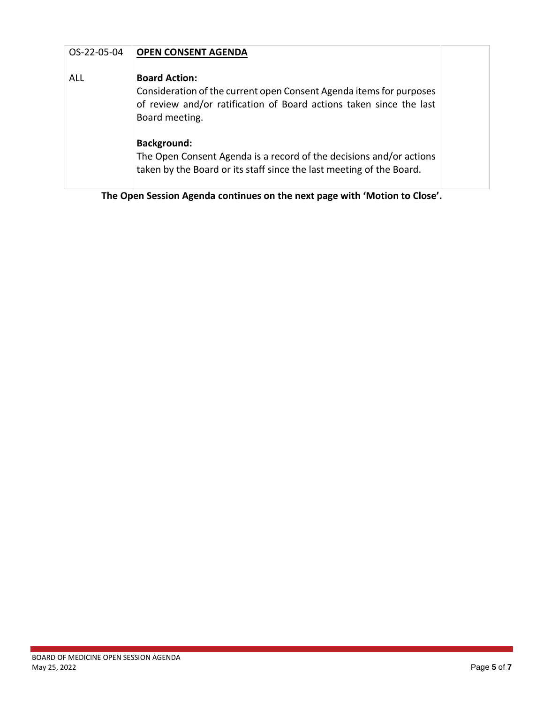| OS-22-05-04 | <b>OPEN CONSENT AGENDA</b>                                                                                                                                                                                                                                                                                                                                |  |
|-------------|-----------------------------------------------------------------------------------------------------------------------------------------------------------------------------------------------------------------------------------------------------------------------------------------------------------------------------------------------------------|--|
| ALL         | <b>Board Action:</b><br>Consideration of the current open Consent Agenda items for purposes<br>of review and/or ratification of Board actions taken since the last<br>Board meeting.<br><b>Background:</b><br>The Open Consent Agenda is a record of the decisions and/or actions<br>taken by the Board or its staff since the last meeting of the Board. |  |
|             |                                                                                                                                                                                                                                                                                                                                                           |  |

**The Open Session Agenda continues on the next page with 'Motion to Close'.**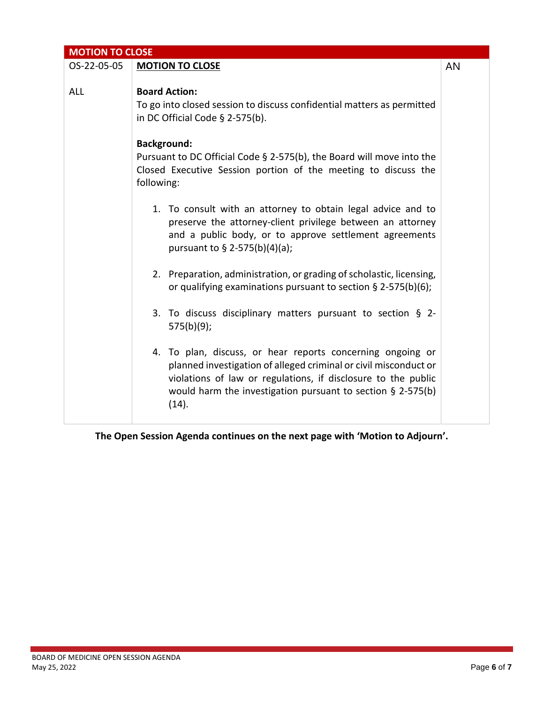| <b>MOTION TO CLOSE</b> |                                                                                                                                                                                                                                                                            |    |
|------------------------|----------------------------------------------------------------------------------------------------------------------------------------------------------------------------------------------------------------------------------------------------------------------------|----|
| OS-22-05-05            | <b>MOTION TO CLOSE</b>                                                                                                                                                                                                                                                     | AN |
| <b>ALL</b>             | <b>Board Action:</b><br>To go into closed session to discuss confidential matters as permitted<br>in DC Official Code $\S$ 2-575(b).                                                                                                                                       |    |
|                        | <b>Background:</b><br>Pursuant to DC Official Code § 2-575(b), the Board will move into the<br>Closed Executive Session portion of the meeting to discuss the<br>following:                                                                                                |    |
|                        | 1. To consult with an attorney to obtain legal advice and to<br>preserve the attorney-client privilege between an attorney<br>and a public body, or to approve settlement agreements<br>pursuant to § 2-575(b)(4)(a);                                                      |    |
|                        | 2. Preparation, administration, or grading of scholastic, licensing,<br>or qualifying examinations pursuant to section § 2-575(b)(6);                                                                                                                                      |    |
|                        | 3. To discuss disciplinary matters pursuant to section § 2-<br>575(b)(9);                                                                                                                                                                                                  |    |
|                        | 4. To plan, discuss, or hear reports concerning ongoing or<br>planned investigation of alleged criminal or civil misconduct or<br>violations of law or regulations, if disclosure to the public<br>would harm the investigation pursuant to section $\S$ 2-575(b)<br>(14). |    |

**The Open Session Agenda continues on the next page with 'Motion to Adjourn'.**